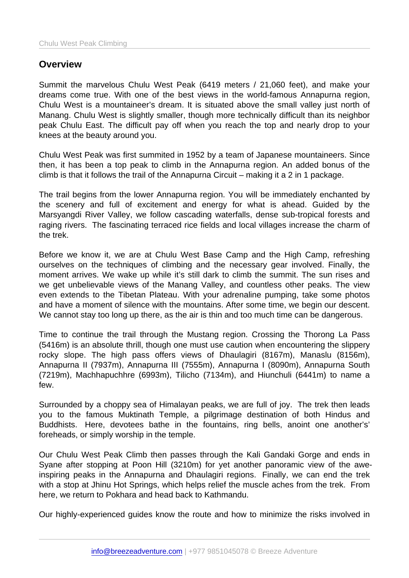## **Overview**

Summit the marvelous Chulu West Peak (6419 meters / 21,060 feet), and make your dreams come true. With one of the best views in the world-famous Annapurna region, Chulu West is a mountaineer's dream. It is situated above the small valley just north of Manang. Chulu West is slightly smaller, though more technically difficult than its neighbor peak Chulu East. The difficult pay off when you reach the top and nearly drop to your knees at the beauty around you.

Chulu West Peak was first summited in 1952 by a team of Japanese mountaineers. Since then, it has been a top peak to climb in the Annapurna region. An added bonus of the climb is that it follows the trail of the Annapurna Circuit – making it a 2 in 1 package.

The trail begins from the lower Annapurna region. You will be immediately enchanted by the scenery and full of excitement and energy for what is ahead. Guided by the Marsyangdi River Valley, we follow cascading waterfalls, dense sub-tropical forests and raging rivers. The fascinating terraced rice fields and local villages increase the charm of the trek.

Before we know it, we are at Chulu West Base Camp and the High Camp, refreshing ourselves on the techniques of climbing and the necessary gear involved. Finally, the moment arrives. We wake up while it's still dark to climb the summit. The sun rises and we get unbelievable views of the Manang Valley, and countless other peaks. The view even extends to the Tibetan Plateau. With your adrenaline pumping, take some photos and have a moment of silence with the mountains. After some time, we begin our descent. We cannot stay too long up there, as the air is thin and too much time can be dangerous.

Time to continue the trail through the Mustang region. Crossing the Thorong La Pass (5416m) is an absolute thrill, though one must use caution when encountering the slippery rocky slope. The high pass offers views of Dhaulagiri (8167m), Manaslu (8156m), Annapurna II (7937m), Annapurna III (7555m), Annapurna I (8090m), Annapurna South (7219m), Machhapuchhre (6993m), Tilicho (7134m), and Hiunchuli (6441m) to name a few.

Surrounded by a choppy sea of Himalayan peaks, we are full of joy. The trek then leads you to the famous Muktinath Temple, a pilgrimage destination of both Hindus and Buddhists. Here, devotees bathe in the fountains, ring bells, anoint one another's' foreheads, or simply worship in the temple.

Our Chulu West Peak Climb then passes through the Kali Gandaki Gorge and ends in Syane after stopping at Poon Hill (3210m) for yet another panoramic view of the aweinspiring peaks in the Annapurna and Dhaulagiri regions. Finally, we can end the trek with a stop at Jhinu Hot Springs, which helps relief the muscle aches from the trek. From here, we return to Pokhara and head back to Kathmandu.

Our highly-experienced guides know the route and how to minimize the risks involved in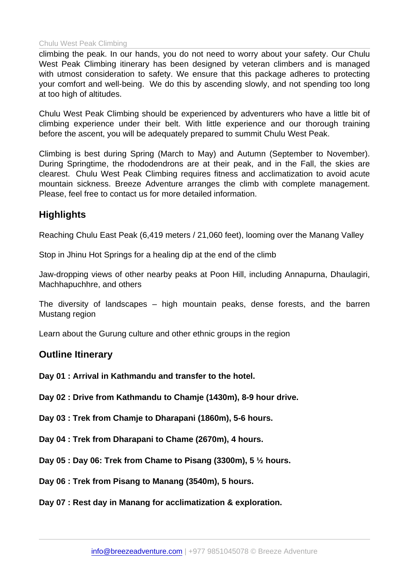## Chulu West Peak Climbing

climbing the peak. In our hands, you do not need to worry about your safety. Our Chulu West Peak Climbing itinerary has been designed by veteran climbers and is managed with utmost consideration to safety. We ensure that this package adheres to protecting your comfort and well-being. We do this by ascending slowly, and not spending too long at too high of altitudes.

Chulu West Peak Climbing should be experienced by adventurers who have a little bit of climbing experience under their belt. With little experience and our thorough training before the ascent, you will be adequately prepared to summit Chulu West Peak.

Climbing is best during Spring (March to May) and Autumn (September to November). During Springtime, the rhododendrons are at their peak, and in the Fall, the skies are clearest. Chulu West Peak Climbing requires fitness and acclimatization to avoid acute mountain sickness. Breeze Adventure arranges the climb with complete management. Please, feel free to contact us for more detailed information.

## **Highlights**

Reaching Chulu East Peak (6,419 meters / 21,060 feet), looming over the Manang Valley

Stop in Jhinu Hot Springs for a healing dip at the end of the climb

Jaw-dropping views of other nearby peaks at Poon Hill, including Annapurna, Dhaulagiri, Machhapuchhre, and others

The diversity of landscapes – high mountain peaks, dense forests, and the barren Mustang region

Learn about the Gurung culture and other ethnic groups in the region

Outline Itinerary

Day 01 : Arrival in Kathmandu and transfer to the hotel.

Day 02 : Drive from Kathmandu to Chamje (1430m), 8-9 hour drive.

Day 03 : Trek from Chamje to Dharapani (1860m), 5-6 hours.

Day 04 : Trek from Dharapani to Chame (2670m), 4 hours.

Day 05 : Day 06: Trek from Chame to Pisang (3300m), 5 ½ hours.

Day 06 : Trek from Pisang to Manang (3540m), 5 hours.

Day 07 : Rest day in Manang for acclimatization & exploration.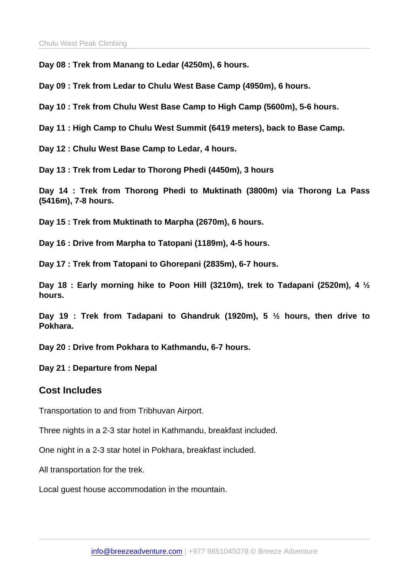Day 08 : Trek from Manang to Ledar (4250m), 6 hours.

Day 09 : Trek from Ledar to Chulu West Base Camp (4950m), 6 hours.

Day 10 : Trek from Chulu West Base Camp to High Camp (5600m), 5-6 hours.

Day 11 : High Camp to Chulu West Summit (6419 meters), back to Base Camp.

Day 12 : Chulu West Base Camp to Ledar, 4 hours.

Day 13 : Trek from Ledar to Thorong Phedi (4450m), 3 hours

Day 14 : Trek from Thorong Phedi to Muktinath (3800m) via Thorong La Pass (5416m), 7-8 hours.

Day 15 : Trek from Muktinath to Marpha (2670m), 6 hours.

Day 16 : Drive from Marpha to Tatopani (1189m), 4-5 hours.

Day 17 : Trek from Tatopani to Ghorepani (2835m), 6-7 hours.

Day 18 : Early morning hike to Poon Hill (3210m), trek to Tadapani (2520m), 4 ½ hours.

Day 19 : Trek from Tadapani to Ghandruk (1920m), 5 ½ hours, then drive to Pokhara.

Day 20 : Drive from Pokhara to Kathmandu, 6-7 hours.

Day 21 : Departure from Nepal

## Cost Includes

Transportation to and from Tribhuvan Airport.

Three nights in a 2-3 star hotel in Kathmandu, breakfast included.

One night in a 2-3 star hotel in Pokhara, breakfast included.

All transportation for the trek.

Local guest house accommodation in the mountain.